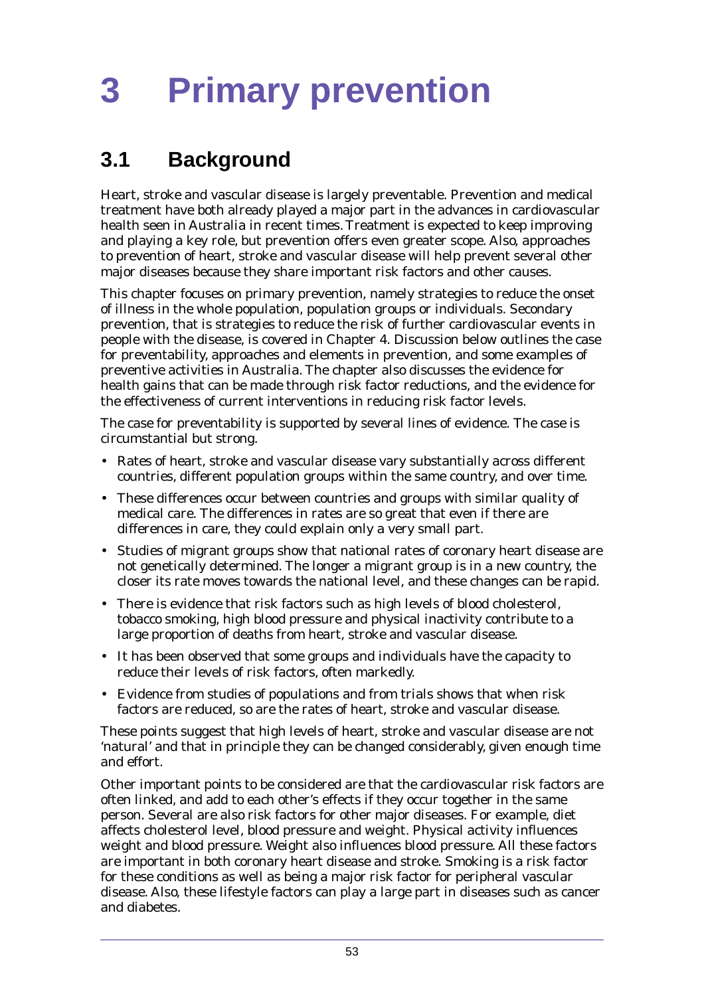# **3.1 Background**

Heart, stroke and vascular disease is largely preventable. Prevention and medical treatment have both already played a major part in the advances in cardiovascular health seen in Australia in recent times. Treatment is expected to keep improving and playing a key role, but prevention offers even greater scope. Also, approaches to prevention of heart, stroke and vascular disease will help prevent several other major diseases because they share important risk factors and other causes.

This chapter focuses on primary prevention, namely strategies to reduce the onset of illness in the whole population, population groups or individuals. Secondary prevention, that is strategies to reduce the risk of further cardiovascular events in people with the disease, is covered in Chapter 4. Discussion below outlines the case for preventability, approaches and elements in prevention, and some examples of preventive activities in Australia. The chapter also discusses the evidence for health gains that can be made through risk factor reductions, and the evidence for the effectiveness of current interventions in reducing risk factor levels.

The case for preventability is supported by several lines of evidence. The case is circumstantial but strong.

- Rates of heart, stroke and vascular disease vary substantially across different countries, different population groups within the same country, and over time.
- These differences occur between countries and groups with similar quality of medical care. The differences in rates are so great that even if there are differences in care, they could explain only a very small part.
- Studies of migrant groups show that national rates of coronary heart disease are not genetically determined. The longer a migrant group is in a new country, the closer its rate moves towards the national level, and these changes can be rapid.
- There is evidence that risk factors such as high levels of blood cholesterol, tobacco smoking, high blood pressure and physical inactivity contribute to a large proportion of deaths from heart, stroke and vascular disease.
- It has been observed that some groups and individuals have the capacity to reduce their levels of risk factors, often markedly.
- Evidence from studies of populations and from trials shows that when risk factors are reduced, so are the rates of heart, stroke and vascular disease.

These points suggest that high levels of heart, stroke and vascular disease are not 'natural' and that in principle they can be changed considerably, given enough time and effort.

Other important points to be considered are that the cardiovascular risk factors are often linked, and add to each other's effects if they occur together in the same person. Several are also risk factors for other major diseases. For example, diet affects cholesterol level, blood pressure and weight. Physical activity influences weight and blood pressure. Weight also influences blood pressure. All these factors are important in both coronary heart disease and stroke. Smoking is a risk factor for these conditions as well as being a major risk factor for peripheral vascular disease. Also, these lifestyle factors can play a large part in diseases such as cancer and diabetes.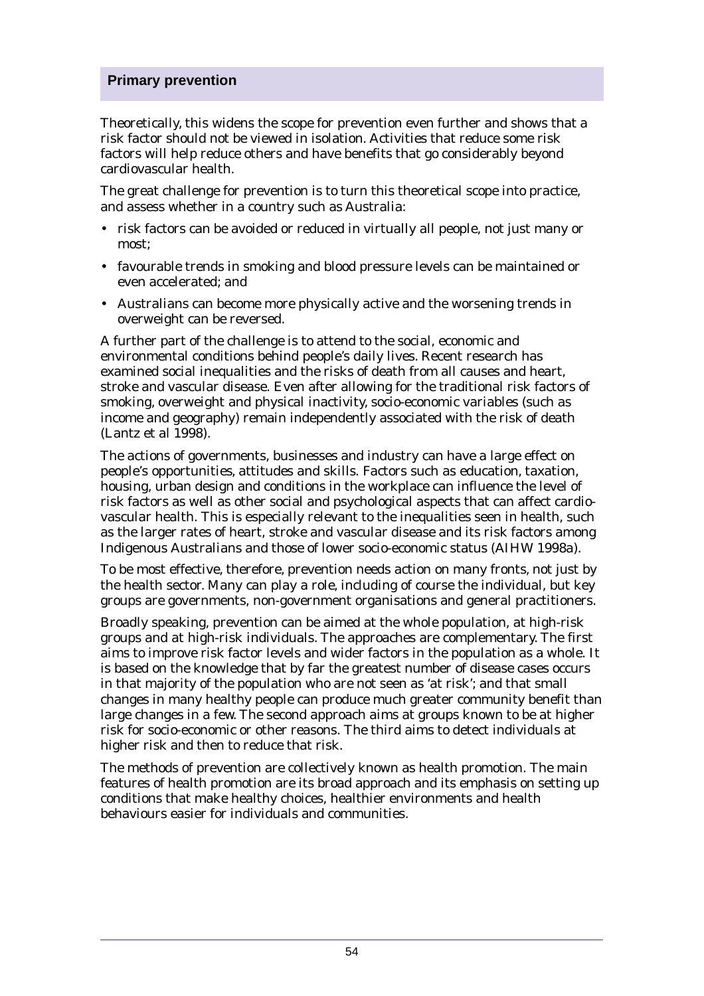Theoretically, this widens the scope for prevention even further and shows that a risk factor should not be viewed in isolation. Activities that reduce some risk factors will help reduce others and have benefits that go considerably beyond cardiovascular health.

The great challenge for prevention is to turn this theoretical scope into practice, and assess whether in a country such as Australia:

- risk factors can be avoided or reduced in virtually all people, not just many or most;
- favourable trends in smoking and blood pressure levels can be maintained or even accelerated; and
- Australians can become more physically active and the worsening trends in overweight can be reversed.

A further part of the challenge is to attend to the social, economic and environmental conditions behind people's daily lives. Recent research has examined social inequalities and the risks of death from all causes and heart, stroke and vascular disease. Even after allowing for the traditional risk factors of smoking, overweight and physical inactivity, socio-economic variables (such as income and geography) remain independently associated with the risk of death (Lantz et al 1998).

The actions of governments, businesses and industry can have a large effect on people's opportunities, attitudes and skills. Factors such as education, taxation, housing, urban design and conditions in the workplace can influence the level of risk factors as well as other social and psychological aspects that can affect cardiovascular health. This is especially relevant to the inequalities seen in health, such as the larger rates of heart, stroke and vascular disease and its risk factors among Indigenous Australians and those of lower socio-economic status (AIHW 1998a).

To be most effective, therefore, prevention needs action on many fronts, not just by the health sector. Many can play a role, including of course the individual, but key groups are governments, non-government organisations and general practitioners.

Broadly speaking, prevention can be aimed at the whole population, at high-risk groups and at high-risk individuals. The approaches are complementary. The first aims to improve risk factor levels and wider factors in the population as a whole. It is based on the knowledge that by far the greatest number of disease cases occurs in that majority of the population who are not seen as 'at risk'; and that small changes in many healthy people can produce much greater community benefit than large changes in a few. The second approach aims at groups known to be at higher risk for socio-economic or other reasons. The third aims to detect individuals at higher risk and then to reduce that risk.

The methods of prevention are collectively known as health promotion. The main features of health promotion are its broad approach and its emphasis on setting up conditions that make healthy choices, healthier environments and health behaviours easier for individuals and communities.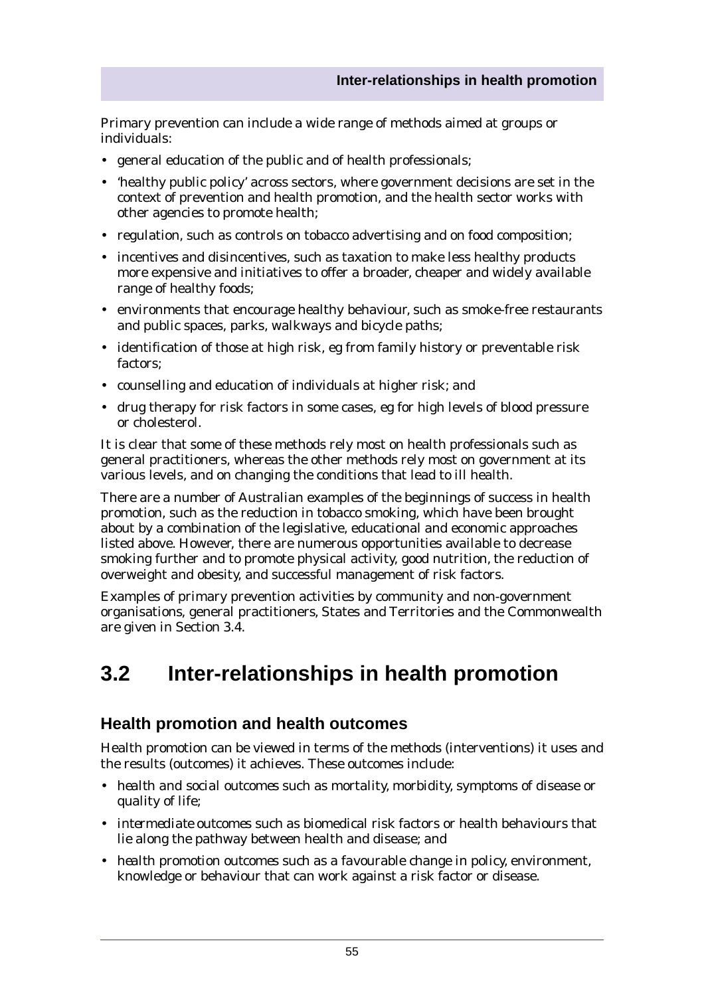Primary prevention can include a wide range of methods aimed at groups or individuals:

- general education of the public and of health professionals;
- 'healthy public policy' across sectors, where government decisions are set in the context of prevention and health promotion, and the health sector works with other agencies to promote health;
- regulation, such as controls on tobacco advertising and on food composition;
- incentives and disincentives, such as taxation to make less healthy products more expensive and initiatives to offer a broader, cheaper and widely available range of healthy foods;
- environments that encourage healthy behaviour, such as smoke-free restaurants and public spaces, parks, walkways and bicycle paths;
- identification of those at high risk, eg from family history or preventable risk factors;
- counselling and education of individuals at higher risk; and
- drug therapy for risk factors in some cases, eg for high levels of blood pressure or cholesterol.

It is clear that some of these methods rely most on health professionals such as general practitioners, whereas the other methods rely most on government at its various levels, and on changing the conditions that lead to ill health.

There are a number of Australian examples of the beginnings of success in health promotion, such as the reduction in tobacco smoking, which have been brought about by a combination of the legislative, educational and economic approaches listed above. However, there are numerous opportunities available to decrease smoking further and to promote physical activity, good nutrition, the reduction of overweight and obesity, and successful management of risk factors.

Examples of primary prevention activities by community and non-government organisations, general practitioners, States and Territories and the Commonwealth are given in Section 3.4.

# **3.2 Inter-relationships in health promotion**

# **Health promotion and health outcomes**

Health promotion can be viewed in terms of the methods (interventions) it uses and the results (outcomes) it achieves. These outcomes include:

- *health and social outcomes* such as mortality, morbidity, symptoms of disease or quality of life;
- *intermediate outcomes* such as biomedical risk factors or health behaviours that lie along the pathway between health and disease; and
- *health promotion outcomes* such as a favourable change in policy, environment, knowledge or behaviour that can work against a risk factor or disease.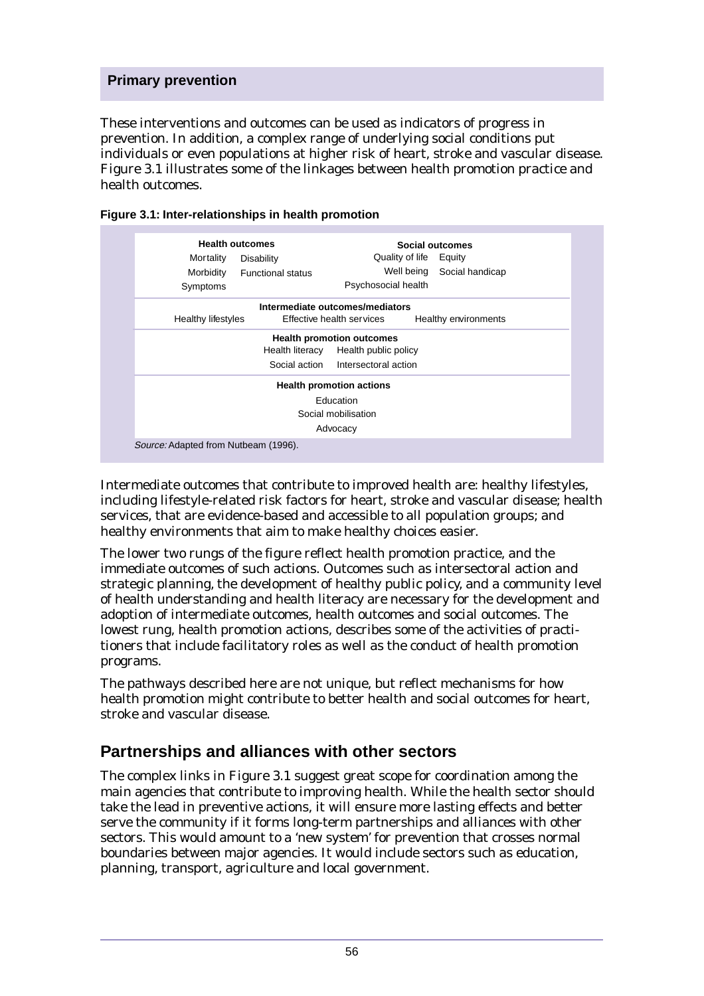These interventions and outcomes can be used as indicators of progress in prevention. In addition, a complex range of underlying social conditions put individuals or even populations at higher risk of heart, stroke and vascular disease. Figure 3.1 illustrates some of the linkages between health promotion practice and health outcomes.

| <b>Health outcomes</b><br>Mortality<br>Morbidity<br>Symptoms | Disability<br><b>Functional status</b> | Quality of life<br>Well being<br>Psychosocial health | Social outcomes<br>Equity<br>Social handicap |  |  |
|--------------------------------------------------------------|----------------------------------------|------------------------------------------------------|----------------------------------------------|--|--|
|                                                              |                                        | Intermediate outcomes/mediators                      |                                              |  |  |
| Healthy lifestyles                                           |                                        | Effective health services                            | Healthy environments                         |  |  |
| <b>Health promotion outcomes</b>                             |                                        |                                                      |                                              |  |  |
| Health literacy<br>Health public policy                      |                                        |                                                      |                                              |  |  |
|                                                              |                                        | Social action Intersectoral action                   |                                              |  |  |
| <b>Health promotion actions</b>                              |                                        |                                                      |                                              |  |  |
| Education                                                    |                                        |                                                      |                                              |  |  |
| Social mobilisation                                          |                                        |                                                      |                                              |  |  |
| Advocacy                                                     |                                        |                                                      |                                              |  |  |
| Source: Adapted from Nutbeam (1996).                         |                                        |                                                      |                                              |  |  |

| Figure 3.1: Inter-relationships in health promotion |  |
|-----------------------------------------------------|--|
|-----------------------------------------------------|--|

Intermediate outcomes that contribute to improved health are: healthy lifestyles, including lifestyle-related risk factors for heart, stroke and vascular disease; health services, that are evidence-based and accessible to all population groups; and healthy environments that aim to make healthy choices easier.

The lower two rungs of the figure reflect health promotion practice, and the immediate outcomes of such actions. Outcomes such as intersectoral action and strategic planning, the development of healthy public policy, and a community level of health understanding and health literacy are necessary for the development and adoption of intermediate outcomes, health outcomes and social outcomes. The lowest rung, health promotion actions, describes some of the activities of practitioners that include facilitatory roles as well as the conduct of health promotion programs.

The pathways described here are not unique, but reflect mechanisms for how health promotion might contribute to better health and social outcomes for heart, stroke and vascular disease.

# **Partnerships and alliances with other sectors**

The complex links in Figure 3.1 suggest great scope for coordination among the main agencies that contribute to improving health. While the health sector should take the lead in preventive actions, it will ensure more lasting effects and better serve the community if it forms long-term partnerships and alliances with other sectors. This would amount to a 'new system' for prevention that crosses normal boundaries between major agencies. It would include sectors such as education, planning, transport, agriculture and local government.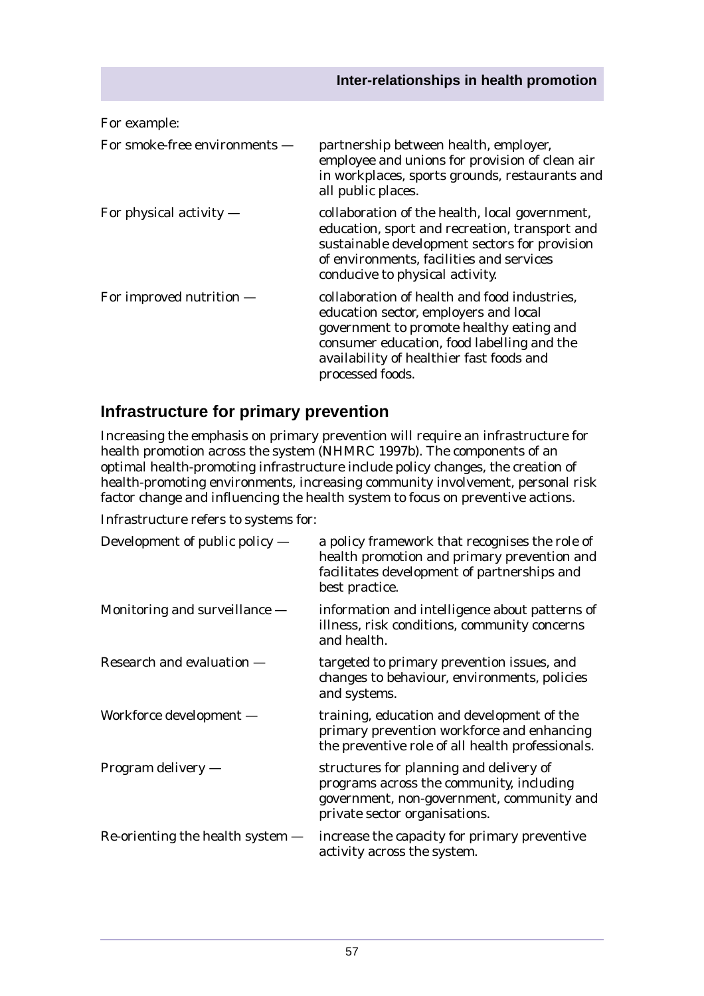| For example:                  |                                                                                                                                                                                                                                                 |
|-------------------------------|-------------------------------------------------------------------------------------------------------------------------------------------------------------------------------------------------------------------------------------------------|
| For smoke-free environments — | partnership between health, employer,<br>employee and unions for provision of clean air<br>in workplaces, sports grounds, restaurants and<br>all public places.                                                                                 |
| For physical activity $-$     | collaboration of the health, local government,<br>education, sport and recreation, transport and<br>sustainable development sectors for provision<br>of environments, facilities and services<br>conducive to physical activity.                |
| For improved nutrition —      | collaboration of health and food industries,<br>education sector, employers and local<br>government to promote healthy eating and<br>consumer education, food labelling and the<br>availability of healthier fast foods and<br>processed foods. |

# **Infrastructure for primary prevention**

Increasing the emphasis on primary prevention will require an infrastructure for health promotion across the system (NHMRC 1997b). The components of an optimal health-promoting infrastructure include policy changes, the creation of health-promoting environments, increasing community involvement, personal risk factor change and influencing the health system to focus on preventive actions.

Infrastructure refers to systems for:

| Development of public policy —     | a policy framework that recognises the role of<br>health promotion and primary prevention and<br>facilitates development of partnerships and<br>best practice.    |
|------------------------------------|-------------------------------------------------------------------------------------------------------------------------------------------------------------------|
| Monitoring and surveillance $-$    | information and intelligence about patterns of<br>illness, risk conditions, community concerns<br>and health.                                                     |
| Research and evaluation -          | targeted to primary prevention issues, and<br>changes to behaviour, environments, policies<br>and systems.                                                        |
| Workforce development -            | training, education and development of the<br>primary prevention workforce and enhancing<br>the preventive role of all health professionals.                      |
| Program delivery $-$               | structures for planning and delivery of<br>programs across the community, including<br>government, non-government, community and<br>private sector organisations. |
| Re-orienting the health system $-$ | increase the capacity for primary preventive<br>activity across the system.                                                                                       |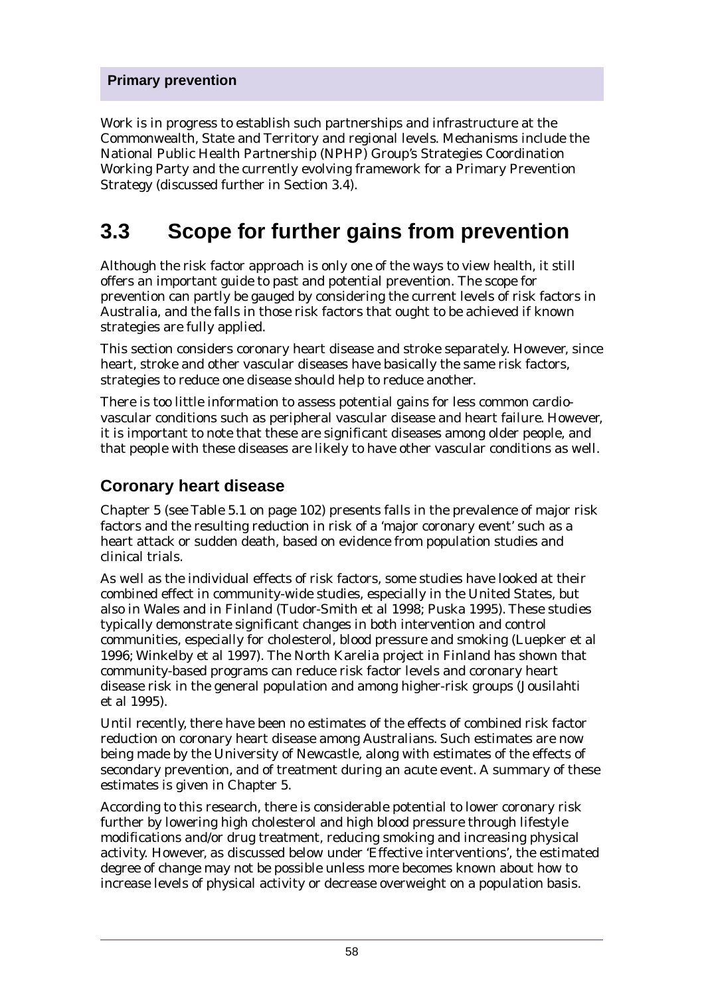Work is in progress to establish such partnerships and infrastructure at the Commonwealth, State and Territory and regional levels. Mechanisms include the National Public Health Partnership (NPHP) Group's Strategies Coordination Working Party and the currently evolving framework for a Primary Prevention Strategy (discussed further in Section 3.4).

# **3.3 Scope for further gains from prevention**

Although the risk factor approach is only one of the ways to view health, it still offers an important guide to past and potential prevention. The scope for prevention can partly be gauged by considering the current levels of risk factors in Australia, and the falls in those risk factors that ought to be achieved if known strategies are fully applied.

This section considers coronary heart disease and stroke separately. However, since heart, stroke and other vascular diseases have basically the same risk factors, strategies to reduce one disease should help to reduce another.

There is too little information to assess potential gains for less common cardiovascular conditions such as peripheral vascular disease and heart failure. However, it is important to note that these are significant diseases among older people, and that people with these diseases are likely to have other vascular conditions as well.

# **Coronary heart disease**

Chapter 5 (see Table 5.1 on page 102) presents falls in the prevalence of major risk factors and the resulting reduction in risk of a 'major coronary event' such as a heart attack or sudden death, based on evidence from population studies and clinical trials.

As well as the individual effects of risk factors, some studies have looked at their combined effect in community-wide studies, especially in the United States, but also in Wales and in Finland (Tudor-Smith et al 1998; Puska 1995). These studies typically demonstrate significant changes in both intervention and control communities, especially for cholesterol, blood pressure and smoking (Luepker et al 1996; Winkelby et al 1997). The North Karelia project in Finland has shown that community-based programs can reduce risk factor levels and coronary heart disease risk in the general population and among higher-risk groups (Jousilahti et al 1995).

Until recently, there have been no estimates of the effects of combined risk factor reduction on coronary heart disease among Australians. Such estimates are now being made by the University of Newcastle, along with estimates of the effects of secondary prevention, and of treatment during an acute event. A summary of these estimates is given in Chapter 5.

According to this research, there is considerable potential to lower coronary risk further by lowering high cholesterol and high blood pressure through lifestyle modifications and/or drug treatment, reducing smoking and increasing physical activity. However, as discussed below under 'Effective interventions', the estimated degree of change may not be possible unless more becomes known about how to increase levels of physical activity or decrease overweight on a population basis.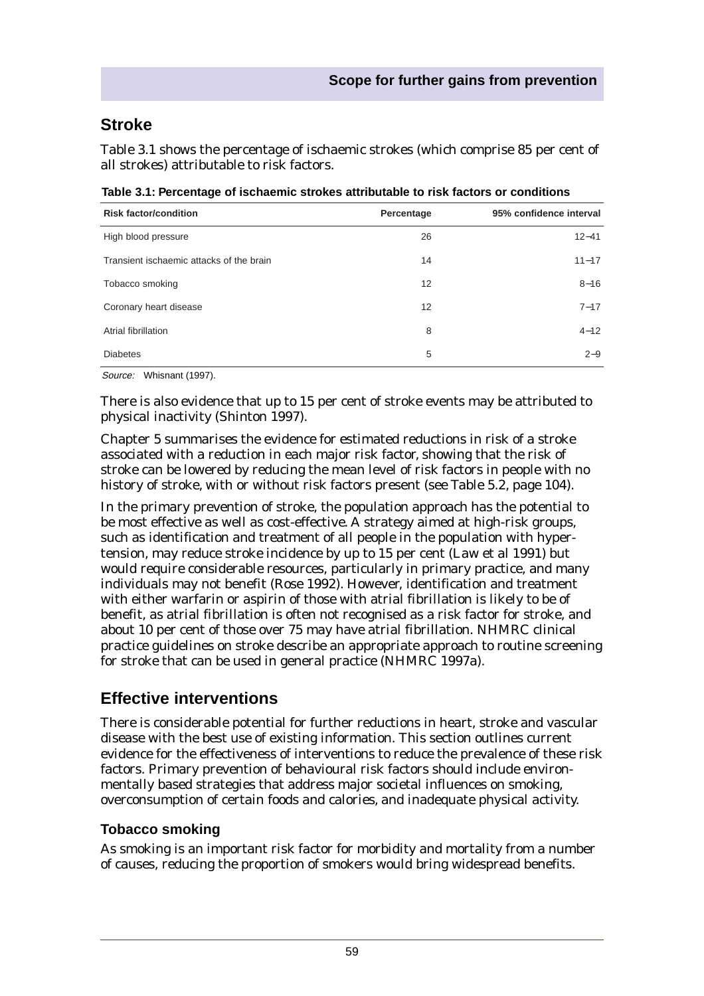# **Stroke**

Table 3.1 shows the percentage of ischaemic strokes (which comprise 85 per cent of all strokes) attributable to risk factors.

| <b>Risk factor/condition</b>             | Percentage | 95% confidence interval |
|------------------------------------------|------------|-------------------------|
| High blood pressure                      | 26         | $12 - 41$               |
| Transient ischaemic attacks of the brain | 14         | $11 - 17$               |
| Tobacco smoking                          | 12         | $8 - 16$                |
| Coronary heart disease                   | 12         | $7 - 17$                |
| Atrial fibrillation                      | 8          | $4 - 12$                |
| <b>Diabetes</b>                          | 5          | $2 - 9$                 |

**Table 3.1: Percentage of ischaemic strokes attributable to risk factors or conditions**

Source: Whisnant (1997).

There is also evidence that up to 15 per cent of stroke events may be attributed to physical inactivity (Shinton 1997).

Chapter 5 summarises the evidence for estimated reductions in risk of a stroke associated with a reduction in each major risk factor, showing that the risk of stroke can be lowered by reducing the mean level of risk factors in people with no history of stroke, with or without risk factors present (see Table 5.2, page 104).

In the primary prevention of stroke, the population approach has the potential to be most effective as well as cost-effective. A strategy aimed at high-risk groups, such as identification and treatment of all people in the population with hypertension, may reduce stroke incidence by up to 15 per cent (Law et al 1991) but would require considerable resources, particularly in primary practice, and many individuals may not benefit (Rose 1992). However, identification and treatment with either warfarin or aspirin of those with atrial fibrillation is likely to be of benefit, as atrial fibrillation is often not recognised as a risk factor for stroke, and about 10 per cent of those over 75 may have atrial fibrillation. NHMRC clinical practice guidelines on stroke describe an appropriate approach to routine screening for stroke that can be used in general practice (NHMRC 1997a).

# **Effective interventions**

There is considerable potential for further reductions in heart, stroke and vascular disease with the best use of existing information. This section outlines current evidence for the effectiveness of interventions to reduce the prevalence of these risk factors. Primary prevention of behavioural risk factors should include environmentally based strategies that address major societal influences on smoking, overconsumption of certain foods and calories, and inadequate physical activity.

# **Tobacco smoking**

As smoking is an important risk factor for morbidity and mortality from a number of causes, reducing the proportion of smokers would bring widespread benefits.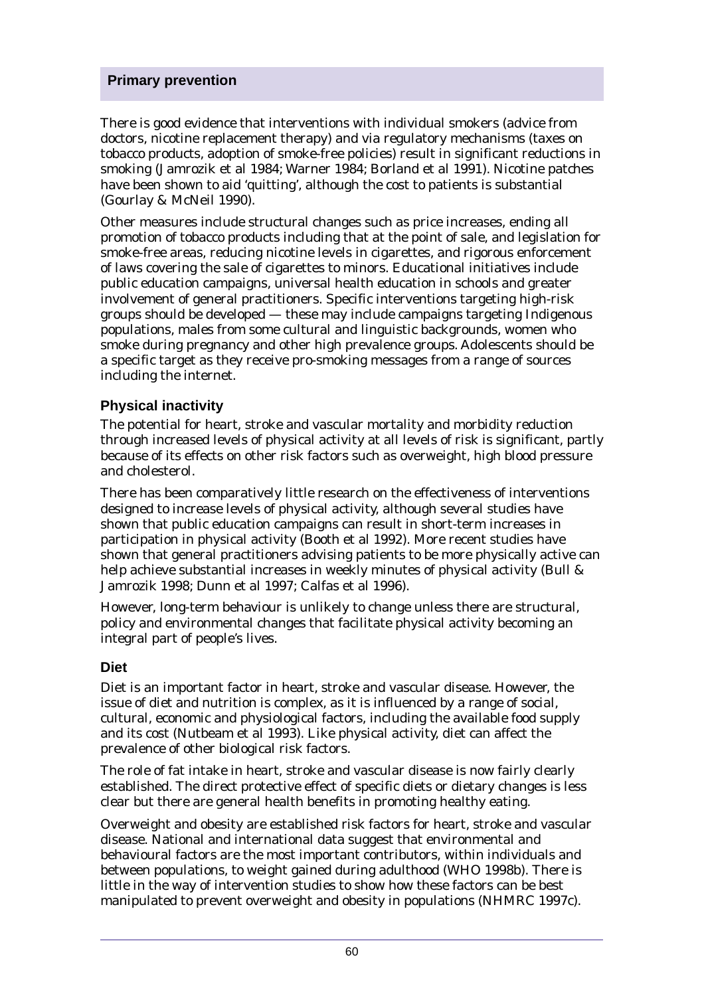There is good evidence that interventions with individual smokers (advice from doctors, nicotine replacement therapy) and via regulatory mechanisms (taxes on tobacco products, adoption of smoke-free policies) result in significant reductions in smoking (Jamrozik et al 1984; Warner 1984; Borland et al 1991). Nicotine patches have been shown to aid 'quitting', although the cost to patients is substantial (Gourlay & McNeil 1990).

Other measures include structural changes such as price increases, ending all promotion of tobacco products including that at the point of sale, and legislation for smoke-free areas, reducing nicotine levels in cigarettes, and rigorous enforcement of laws covering the sale of cigarettes to minors. Educational initiatives include public education campaigns, universal health education in schools and greater involvement of general practitioners. Specific interventions targeting high-risk groups should be developed — these may include campaigns targeting Indigenous populations, males from some cultural and linguistic backgrounds, women who smoke during pregnancy and other high prevalence groups. Adolescents should be a specific target as they receive pro-smoking messages from a range of sources including the internet.

# **Physical inactivity**

The potential for heart, stroke and vascular mortality and morbidity reduction through increased levels of physical activity at all levels of risk is significant, partly because of its effects on other risk factors such as overweight, high blood pressure and cholesterol.

There has been comparatively little research on the effectiveness of interventions designed to increase levels of physical activity, although several studies have shown that public education campaigns can result in short-term increases in participation in physical activity (Booth et al 1992). More recent studies have shown that general practitioners advising patients to be more physically active can help achieve substantial increases in weekly minutes of physical activity (Bull & Jamrozik 1998; Dunn et al 1997; Calfas et al 1996).

However, long-term behaviour is unlikely to change unless there are structural, policy and environmental changes that facilitate physical activity becoming an integral part of people's lives.

# **Diet**

Diet is an important factor in heart, stroke and vascular disease. However, the issue of diet and nutrition is complex, as it is influenced by a range of social, cultural, economic and physiological factors, including the available food supply and its cost (Nutbeam et al 1993). Like physical activity, diet can affect the prevalence of other biological risk factors.

The role of fat intake in heart, stroke and vascular disease is now fairly clearly established. The direct protective effect of specific diets or dietary changes is less clear but there are general health benefits in promoting healthy eating.

Overweight and obesity are established risk factors for heart, stroke and vascular disease. National and international data suggest that environmental and behavioural factors are the most important contributors, within individuals and between populations, to weight gained during adulthood (WHO 1998b). There is little in the way of intervention studies to show how these factors can be best manipulated to prevent overweight and obesity in populations (NHMRC 1997c).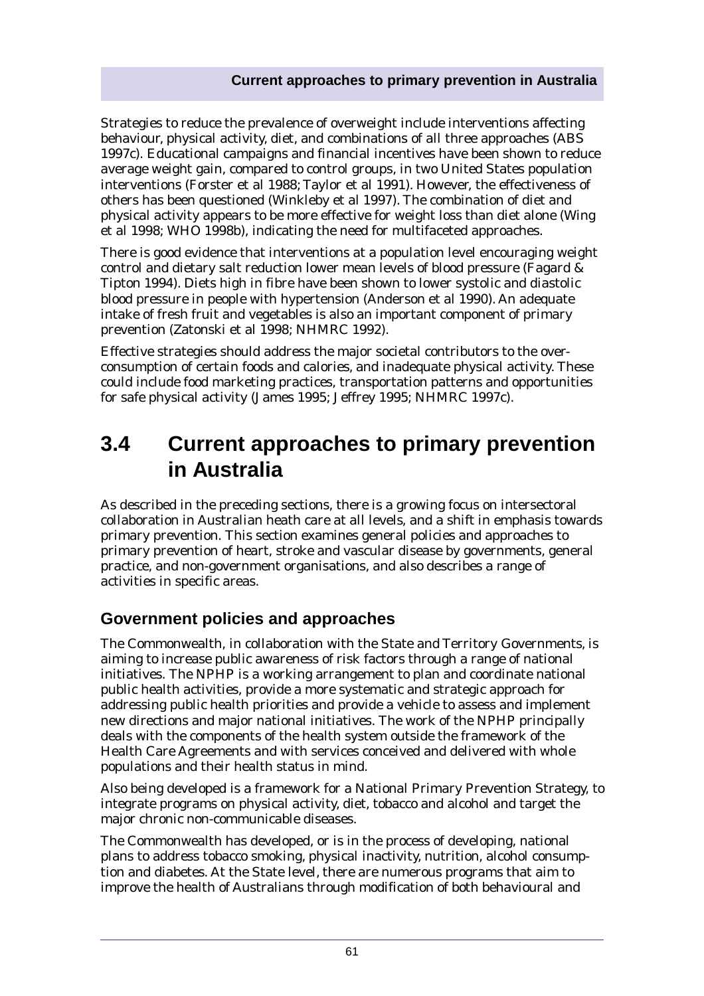## **Current approaches to primary prevention in Australia**

Strategies to reduce the prevalence of overweight include interventions affecting behaviour, physical activity, diet, and combinations of all three approaches (ABS 1997c). Educational campaigns and financial incentives have been shown to reduce average weight gain, compared to control groups, in two United States population interventions (Forster et al 1988; Taylor et al 1991). However, the effectiveness of others has been questioned (Winkleby et al 1997). The combination of diet and physical activity appears to be more effective for weight loss than diet alone (Wing et al 1998; WHO 1998b), indicating the need for multifaceted approaches.

There is good evidence that interventions at a population level encouraging weight control and dietary salt reduction lower mean levels of blood pressure (Fagard & Tipton 1994). Diets high in fibre have been shown to lower systolic and diastolic blood pressure in people with hypertension (Anderson et al 1990). An adequate intake of fresh fruit and vegetables is also an important component of primary prevention (Zatonski et al 1998; NHMRC 1992).

Effective strategies should address the major societal contributors to the overconsumption of certain foods and calories, and inadequate physical activity. These could include food marketing practices, transportation patterns and opportunities for safe physical activity (James 1995; Jeffrey 1995; NHMRC 1997c).

# **3.4 Current approaches to primary prevention in Australia**

As described in the preceding sections, there is a growing focus on intersectoral collaboration in Australian heath care at all levels, and a shift in emphasis towards primary prevention. This section examines general policies and approaches to primary prevention of heart, stroke and vascular disease by governments, general practice, and non-government organisations, and also describes a range of activities in specific areas.

# **Government policies and approaches**

The Commonwealth, in collaboration with the State and Territory Governments, is aiming to increase public awareness of risk factors through a range of national initiatives. The NPHP is a working arrangement to plan and coordinate national public health activities, provide a more systematic and strategic approach for addressing public health priorities and provide a vehicle to assess and implement new directions and major national initiatives. The work of the NPHP principally deals with the components of the health system outside the framework of the Health Care Agreements and with services conceived and delivered with whole populations and their health status in mind.

Also being developed is a framework for a National Primary Prevention Strategy, to integrate programs on physical activity, diet, tobacco and alcohol and target the major chronic non-communicable diseases.

The Commonwealth has developed, or is in the process of developing, national plans to address tobacco smoking, physical inactivity, nutrition, alcohol consumption and diabetes. At the State level, there are numerous programs that aim to improve the health of Australians through modification of both behavioural and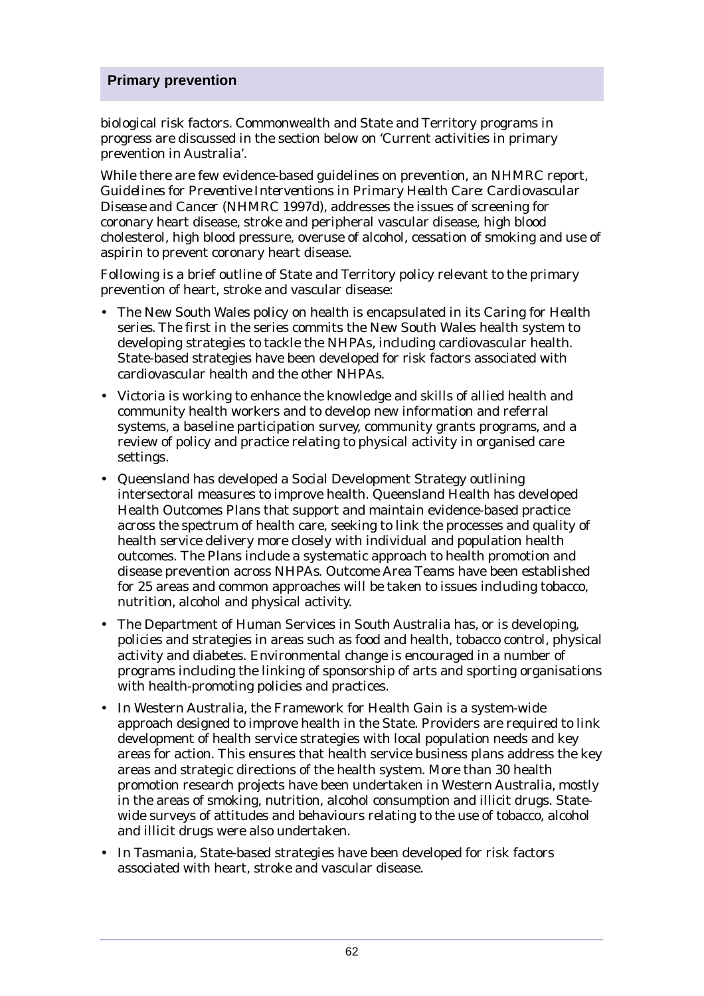biological risk factors. Commonwealth and State and Territory programs in progress are discussed in the section below on 'Current activities in primary prevention in Australia'.

While there are few evidence-based guidelines on prevention, an NHMRC report, *Guidelines for Preventive Interventions in Primary Health Care: Cardiovascular Disease and Cancer* (NHMRC 1997d), addresses the issues of screening for coronary heart disease, stroke and peripheral vascular disease, high blood cholesterol, high blood pressure, overuse of alcohol, cessation of smoking and use of aspirin to prevent coronary heart disease.

Following is a brief outline of State and Territory policy relevant to the primary prevention of heart, stroke and vascular disease:

- The New South Wales policy on health is encapsulated in its *Caring for Health* series. The first in the series commits the New South Wales health system to developing strategies to tackle the NHPAs, including cardiovascular health. State-based strategies have been developed for risk factors associated with cardiovascular health and the other NHPAs.
- Victoria is working to enhance the knowledge and skills of allied health and community health workers and to develop new information and referral systems, a baseline participation survey, community grants programs, and a review of policy and practice relating to physical activity in organised care settings.
- Queensland has developed a Social Development Strategy outlining intersectoral measures to improve health. Queensland Health has developed Health Outcomes Plans that support and maintain evidence-based practice across the spectrum of health care, seeking to link the processes and quality of health service delivery more closely with individual and population health outcomes. The Plans include a systematic approach to health promotion and disease prevention across NHPAs. Outcome Area Teams have been established for 25 areas and common approaches will be taken to issues including tobacco, nutrition, alcohol and physical activity.
- The Department of Human Services in South Australia has, or is developing, policies and strategies in areas such as food and health, tobacco control, physical activity and diabetes. Environmental change is encouraged in a number of programs including the linking of sponsorship of arts and sporting organisations with health-promoting policies and practices.
- In Western Australia, the Framework for Health Gain is a system-wide approach designed to improve health in the State. Providers are required to link development of health service strategies with local population needs and key areas for action. This ensures that health service business plans address the key areas and strategic directions of the health system. More than 30 health promotion research projects have been undertaken in Western Australia, mostly in the areas of smoking, nutrition, alcohol consumption and illicit drugs. Statewide surveys of attitudes and behaviours relating to the use of tobacco, alcohol and illicit drugs were also undertaken.
- In Tasmania, State-based strategies have been developed for risk factors associated with heart, stroke and vascular disease.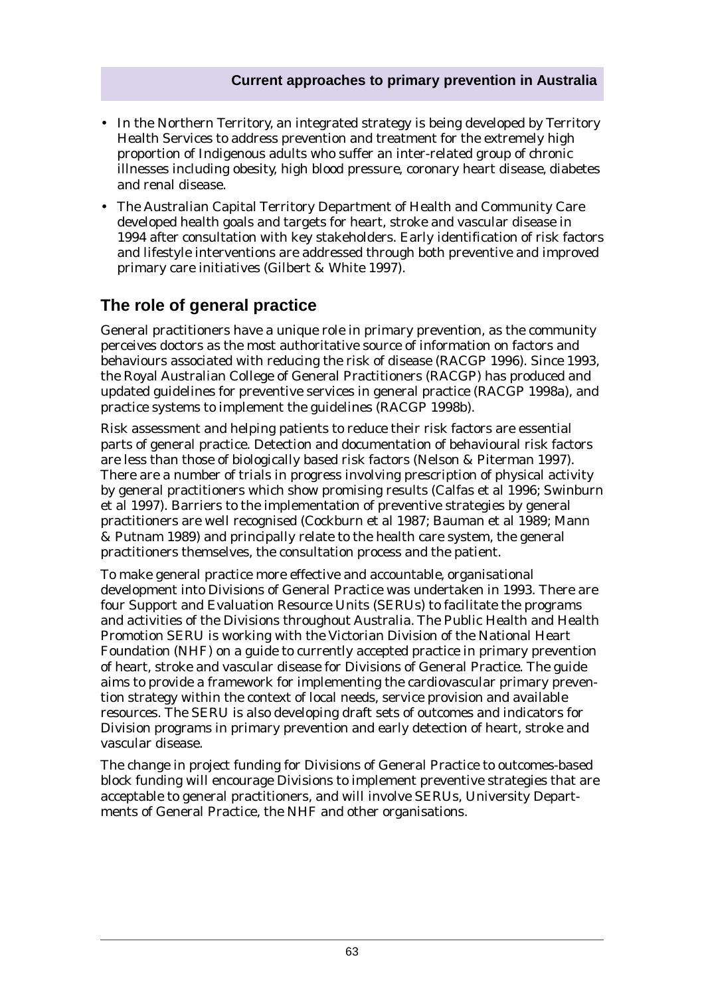- In the Northern Territory, an integrated strategy is being developed by Territory Health Services to address prevention and treatment for the extremely high proportion of Indigenous adults who suffer an inter-related group of chronic illnesses including obesity, high blood pressure, coronary heart disease, diabetes and renal disease.
- The Australian Capital Territory Department of Health and Community Care developed health goals and targets for heart, stroke and vascular disease in 1994 after consultation with key stakeholders. Early identification of risk factors and lifestyle interventions are addressed through both preventive and improved primary care initiatives (Gilbert & White 1997).

# **The role of general practice**

General practitioners have a unique role in primary prevention, as the community perceives doctors as the most authoritative source of information on factors and behaviours associated with reducing the risk of disease (RACGP 1996). Since 1993, the Royal Australian College of General Practitioners (RACGP) has produced and updated guidelines for preventive services in general practice (RACGP 1998a), and practice systems to implement the guidelines (RACGP 1998b).

Risk assessment and helping patients to reduce their risk factors are essential parts of general practice. Detection and documentation of behavioural risk factors are less than those of biologically based risk factors (Nelson & Piterman 1997). There are a number of trials in progress involving prescription of physical activity by general practitioners which show promising results (Calfas et al 1996; Swinburn et al 1997). Barriers to the implementation of preventive strategies by general practitioners are well recognised (Cockburn et al 1987; Bauman et al 1989; Mann & Putnam 1989) and principally relate to the health care system, the general practitioners themselves, the consultation process and the patient.

To make general practice more effective and accountable, organisational development into Divisions of General Practice was undertaken in 1993. There are four Support and Evaluation Resource Units (SERUs) to facilitate the programs and activities of the Divisions throughout Australia. The Public Health and Health Promotion SERU is working with the Victorian Division of the National Heart Foundation (NHF) on a guide to currently accepted practice in primary prevention of heart, stroke and vascular disease for Divisions of General Practice. The guide aims to provide a framework for implementing the cardiovascular primary prevention strategy within the context of local needs, service provision and available resources. The SERU is also developing draft sets of outcomes and indicators for Division programs in primary prevention and early detection of heart, stroke and vascular disease.

The change in project funding for Divisions of General Practice to outcomes-based block funding will encourage Divisions to implement preventive strategies that are acceptable to general practitioners, and will involve SERUs, University Departments of General Practice, the NHF and other organisations.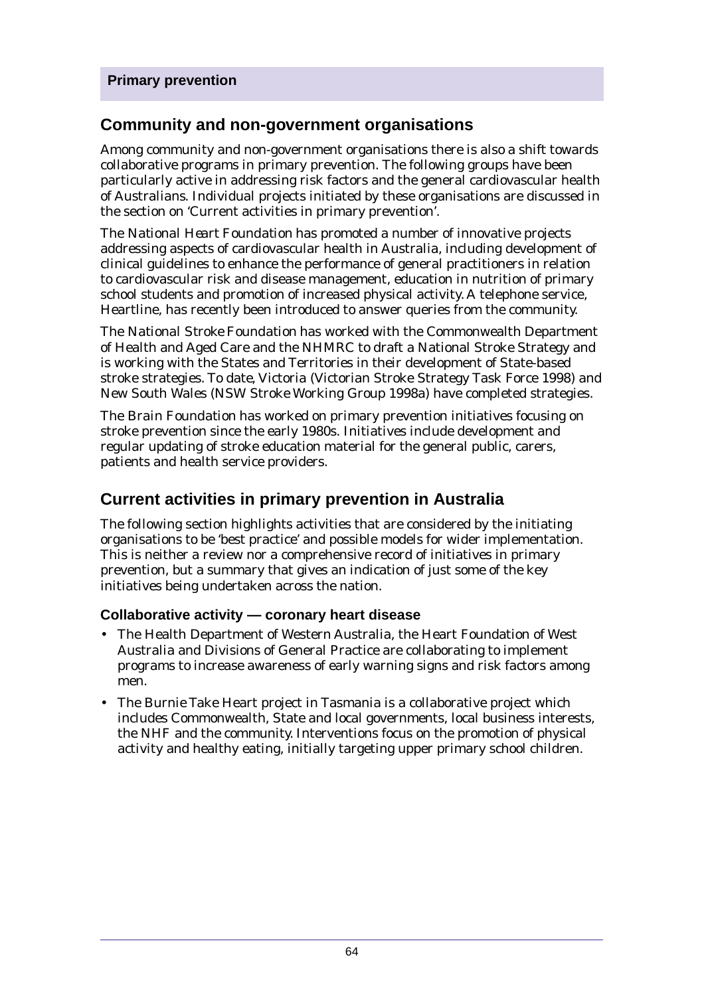# **Community and non-government organisations**

Among community and non-government organisations there is also a shift towards collaborative programs in primary prevention. The following groups have been particularly active in addressing risk factors and the general cardiovascular health of Australians. Individual projects initiated by these organisations are discussed in the section on 'Current activities in primary prevention'.

The *National Heart Foundation* has promoted a number of innovative projects addressing aspects of cardiovascular health in Australia, including development of clinical guidelines to enhance the performance of general practitioners in relation to cardiovascular risk and disease management, education in nutrition of primary school students and promotion of increased physical activity. A telephone service, Heartline, has recently been introduced to answer queries from the community.

The *National Stroke Foundation* has worked with the Commonwealth Department of Health and Aged Care and the NHMRC to draft a National Stroke Strategy and is working with the States and Territories in their development of State-based stroke strategies. To date, Victoria (Victorian Stroke Strategy Task Force 1998) and New South Wales (NSW Stroke Working Group 1998a) have completed strategies.

The *Brain Foundation* has worked on primary prevention initiatives focusing on stroke prevention since the early 1980s. Initiatives include development and regular updating of stroke education material for the general public, carers, patients and health service providers.

# **Current activities in primary prevention in Australia**

The following section highlights activities that are considered by the initiating organisations to be 'best practice' and possible models for wider implementation. This is neither a review nor a comprehensive record of initiatives in primary prevention, but a summary that gives an indication of just some of the key initiatives being undertaken across the nation.

# **Collaborative activity — coronary heart disease**

- The Health Department of Western Australia, the Heart Foundation of West Australia and Divisions of General Practice are collaborating to implement programs to increase awareness of early warning signs and risk factors among men.
- The Burnie Take Heart project in Tasmania is a collaborative project which includes Commonwealth, State and local governments, local business interests, the NHF and the community. Interventions focus on the promotion of physical activity and healthy eating, initially targeting upper primary school children.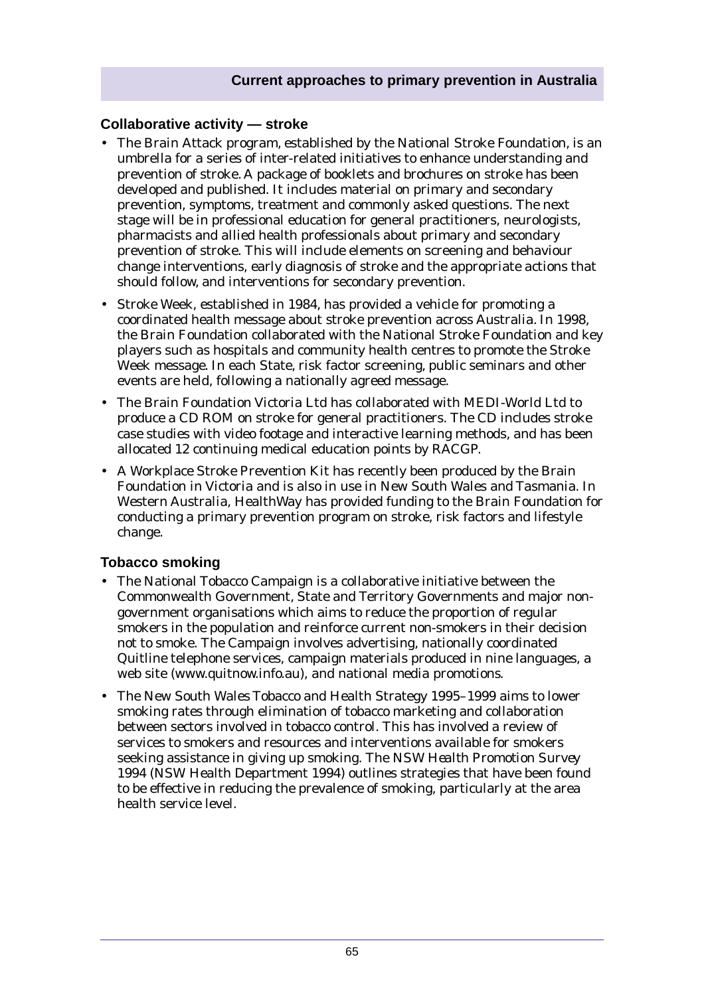#### **Collaborative activity — stroke**

- The Brain Attack program, established by the National Stroke Foundation, is an umbrella for a series of inter-related initiatives to enhance understanding and prevention of stroke. A package of booklets and brochures on stroke has been developed and published. It includes material on primary and secondary prevention, symptoms, treatment and commonly asked questions. The next stage will be in professional education for general practitioners, neurologists, pharmacists and allied health professionals about primary and secondary prevention of stroke. This will include elements on screening and behaviour change interventions, early diagnosis of stroke and the appropriate actions that should follow, and interventions for secondary prevention.
- Stroke Week, established in 1984, has provided a vehicle for promoting a coordinated health message about stroke prevention across Australia. In 1998, the Brain Foundation collaborated with the National Stroke Foundation and key players such as hospitals and community health centres to promote the Stroke Week message. In each State, risk factor screening, public seminars and other events are held, following a nationally agreed message.
- The Brain Foundation Victoria Ltd has collaborated with MEDI-World Ltd to produce a CD ROM on stroke for general practitioners. The CD includes stroke case studies with video footage and interactive learning methods, and has been allocated 12 continuing medical education points by RACGP.
- A Workplace Stroke Prevention Kit has recently been produced by the Brain Foundation in Victoria and is also in use in New South Wales and Tasmania. In Western Australia, HealthWay has provided funding to the Brain Foundation for conducting a primary prevention program on stroke, risk factors and lifestyle change.

### **Tobacco smoking**

- The National Tobacco Campaign is a collaborative initiative between the Commonwealth Government, State and Territory Governments and major nongovernment organisations which aims to reduce the proportion of regular smokers in the population and reinforce current non-smokers in their decision not to smoke. The Campaign involves advertising, nationally coordinated Quitline telephone services, campaign materials produced in nine languages, a web site (www.quitnow.info.au), and national media promotions.
- The New South Wales Tobacco and Health Strategy 1995–1999 aims to lower smoking rates through elimination of tobacco marketing and collaboration between sectors involved in tobacco control. This has involved a review of services to smokers and resources and interventions available for smokers seeking assistance in giving up smoking. The *NSW Health Promotion Survey 1994* (NSW Health Department 1994) outlines strategies that have been found to be effective in reducing the prevalence of smoking, particularly at the area health service level.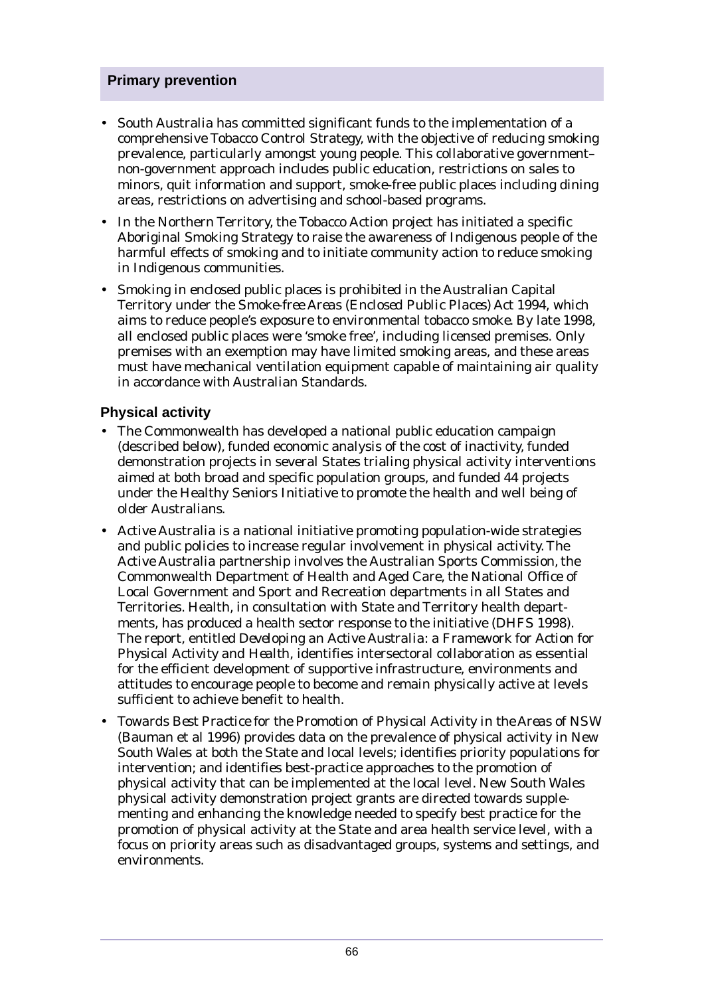- South Australia has committed significant funds to the implementation of a comprehensive Tobacco Control Strategy, with the objective of reducing smoking prevalence, particularly amongst young people. This collaborative government– non-government approach includes public education, restrictions on sales to minors, quit information and support, smoke-free public places including dining areas, restrictions on advertising and school-based programs.
- In the Northern Territory, the Tobacco Action project has initiated a specific Aboriginal Smoking Strategy to raise the awareness of Indigenous people of the harmful effects of smoking and to initiate community action to reduce smoking in Indigenous communities.
- Smoking in enclosed public places is prohibited in the Australian Capital Territory under the *Smoke-free Areas (Enclosed Public Places) Act 1994*, which aims to reduce people's exposure to environmental tobacco smoke. By late 1998, all enclosed public places were 'smoke free', including licensed premises. Only premises with an exemption may have limited smoking areas, and these areas must have mechanical ventilation equipment capable of maintaining air quality in accordance with Australian Standards.

### **Physical activity**

- The Commonwealth has developed a national public education campaign (described below), funded economic analysis of the cost of inactivity, funded demonstration projects in several States trialing physical activity interventions aimed at both broad and specific population groups, and funded 44 projects under the Healthy Seniors Initiative to promote the health and well being of older Australians.
- Active Australia is a national initiative promoting population-wide strategies and public policies to increase regular involvement in physical activity. The Active Australia partnership involves the Australian Sports Commission, the Commonwealth Department of Health and Aged Care, the National Office of Local Government and Sport and Recreation departments in all States and Territories. Health, in consultation with State and Territory health departments, has produced a health sector response to the initiative (DHFS 1998). The report, entitled *Developing an Active Australia: a Framework for Action for Physical Activity and Health*, identifies intersectoral collaboration as essential for the efficient development of supportive infrastructure, environments and attitudes to encourage people to become and remain physically active at levels sufficient to achieve benefit to health.
- *Towards Best Practice for the Promotion of Physical Activity in the Areas of NSW* (Bauman et al 1996) provides data on the prevalence of physical activity in New South Wales at both the State and local levels; identifies priority populations for intervention; and identifies best-practice approaches to the promotion of physical activity that can be implemented at the local level. New South Wales physical activity demonstration project grants are directed towards supplementing and enhancing the knowledge needed to specify best practice for the promotion of physical activity at the State and area health service level, with a focus on priority areas such as disadvantaged groups, systems and settings, and environments.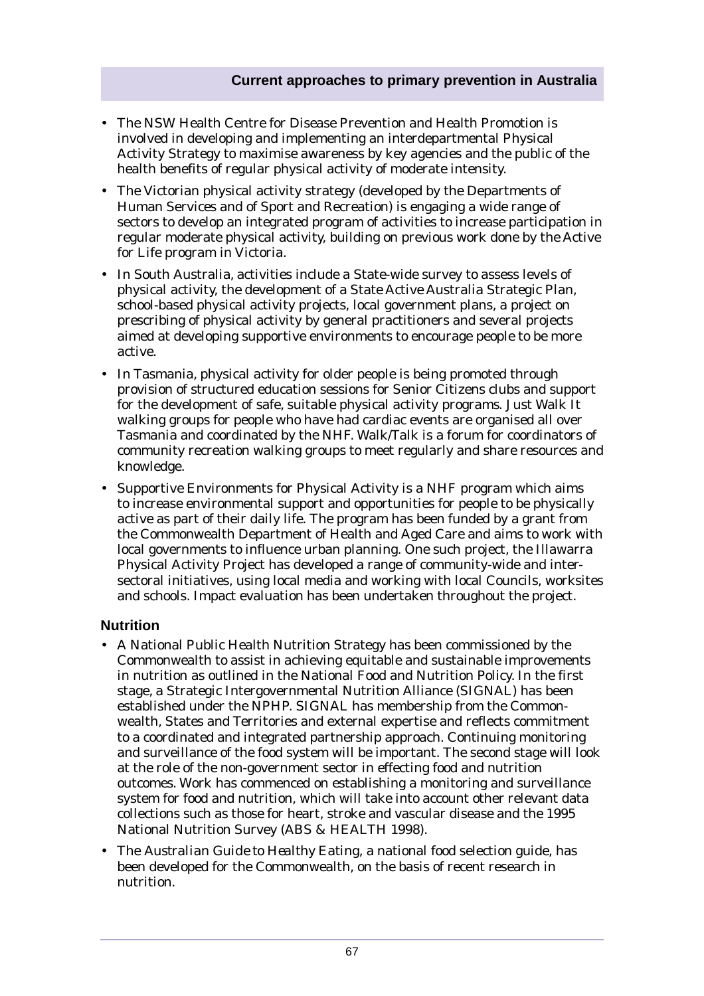- The NSW Health Centre for Disease Prevention and Health Promotion is involved in developing and implementing an interdepartmental Physical Activity Strategy to maximise awareness by key agencies and the public of the health benefits of regular physical activity of moderate intensity.
- The Victorian physical activity strategy (developed by the Departments of Human Services and of Sport and Recreation) is engaging a wide range of sectors to develop an integrated program of activities to increase participation in regular moderate physical activity, building on previous work done by the Active for Life program in Victoria.
- In South Australia, activities include a State-wide survey to assess levels of physical activity, the development of a State Active Australia Strategic Plan, school-based physical activity projects, local government plans, a project on prescribing of physical activity by general practitioners and several projects aimed at developing supportive environments to encourage people to be more active.
- In Tasmania, physical activity for older people is being promoted through provision of structured education sessions for Senior Citizens clubs and support for the development of safe, suitable physical activity programs. Just Walk It walking groups for people who have had cardiac events are organised all over Tasmania and coordinated by the NHF. Walk/Talk is a forum for coordinators of community recreation walking groups to meet regularly and share resources and knowledge.
- Supportive Environments for Physical Activity is a NHF program which aims to increase environmental support and opportunities for people to be physically active as part of their daily life. The program has been funded by a grant from the Commonwealth Department of Health and Aged Care and aims to work with local governments to influence urban planning. One such project, the Illawarra Physical Activity Project has developed a range of community-wide and intersectoral initiatives, using local media and working with local Councils, worksites and schools. Impact evaluation has been undertaken throughout the project.

# **Nutrition**

- A National Public Health Nutrition Strategy has been commissioned by the Commonwealth to assist in achieving equitable and sustainable improvements in nutrition as outlined in the National Food and Nutrition Policy. In the first stage, a Strategic Intergovernmental Nutrition Alliance (SIGNAL) has been established under the NPHP. SIGNAL has membership from the Commonwealth, States and Territories and external expertise and reflects commitment to a coordinated and integrated partnership approach. Continuing monitoring and surveillance of the food system will be important. The second stage will look at the role of the non-government sector in effecting food and nutrition outcomes. Work has commenced on establishing a monitoring and surveillance system for food and nutrition, which will take into account other relevant data collections such as those for heart, stroke and vascular disease and the 1995 National Nutrition Survey (ABS & HEALTH 1998).
- The *Australian Guide to Healthy Eating*, a national food selection guide, has been developed for the Commonwealth, on the basis of recent research in nutrition.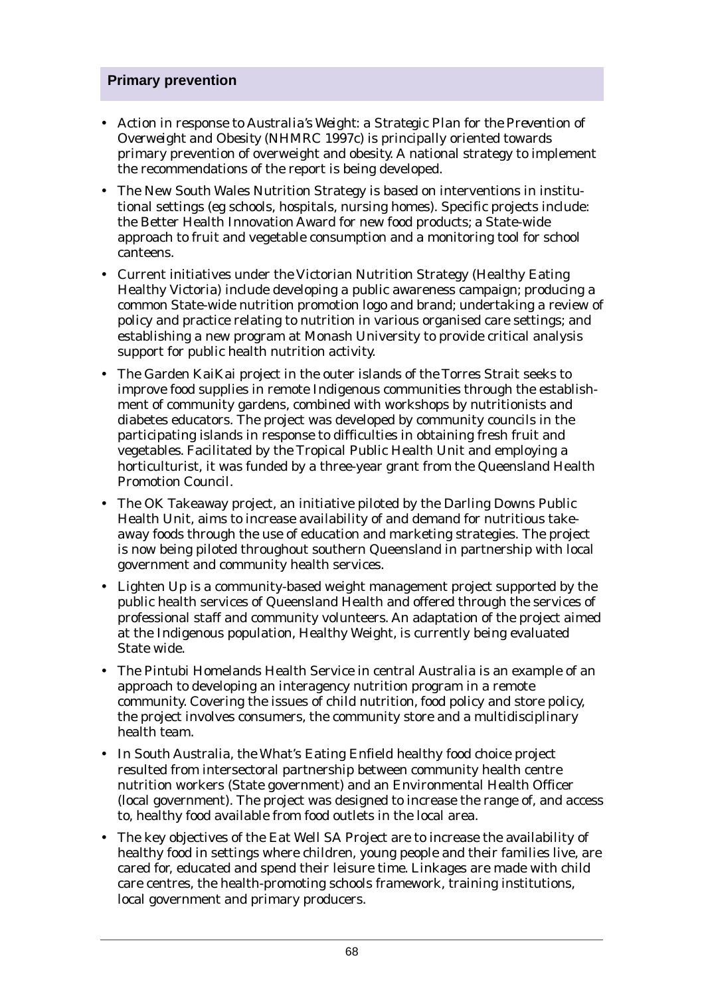- Action in response to *Australia's Weight: a Strategic Plan for the Prevention of Overweight and Obesity* (NHMRC 1997c) is principally oriented towards primary prevention of overweight and obesity. A national strategy to implement the recommendations of the report is being developed.
- The New South Wales Nutrition Strategy is based on interventions in institutional settings (eg schools, hospitals, nursing homes). Specific projects include: the Better Health Innovation Award for new food products; a State-wide approach to fruit and vegetable consumption and a monitoring tool for school canteens.
- Current initiatives under the Victorian Nutrition Strategy (Healthy Eating Healthy Victoria) include developing a public awareness campaign; producing a common State-wide nutrition promotion logo and brand; undertaking a review of policy and practice relating to nutrition in various organised care settings; and establishing a new program at Monash University to provide critical analysis support for public health nutrition activity.
- The Garden KaiKai project in the outer islands of the Torres Strait seeks to improve food supplies in remote Indigenous communities through the establishment of community gardens, combined with workshops by nutritionists and diabetes educators. The project was developed by community councils in the participating islands in response to difficulties in obtaining fresh fruit and vegetables. Facilitated by the Tropical Public Health Unit and employing a horticulturist, it was funded by a three-year grant from the Queensland Health Promotion Council.
- The OK Takeaway project, an initiative piloted by the Darling Downs Public Health Unit, aims to increase availability of and demand for nutritious takeaway foods through the use of education and marketing strategies. The project is now being piloted throughout southern Queensland in partnership with local government and community health services.
- Lighten Up is a community-based weight management project supported by the public health services of Queensland Health and offered through the services of professional staff and community volunteers. An adaptation of the project aimed at the Indigenous population, Healthy Weight, is currently being evaluated State wide.
- The Pintubi Homelands Health Service in central Australia is an example of an approach to developing an interagency nutrition program in a remote community. Covering the issues of child nutrition, food policy and store policy, the project involves consumers, the community store and a multidisciplinary health team.
- In South Australia, the What's Eating Enfield healthy food choice project resulted from intersectoral partnership between community health centre nutrition workers (State government) and an Environmental Health Officer (local government). The project was designed to increase the range of, and access to, healthy food available from food outlets in the local area.
- The key objectives of the Eat Well SA Project are to increase the availability of healthy food in settings where children, young people and their families live, are cared for, educated and spend their leisure time. Linkages are made with child care centres, the health-promoting schools framework, training institutions, local government and primary producers.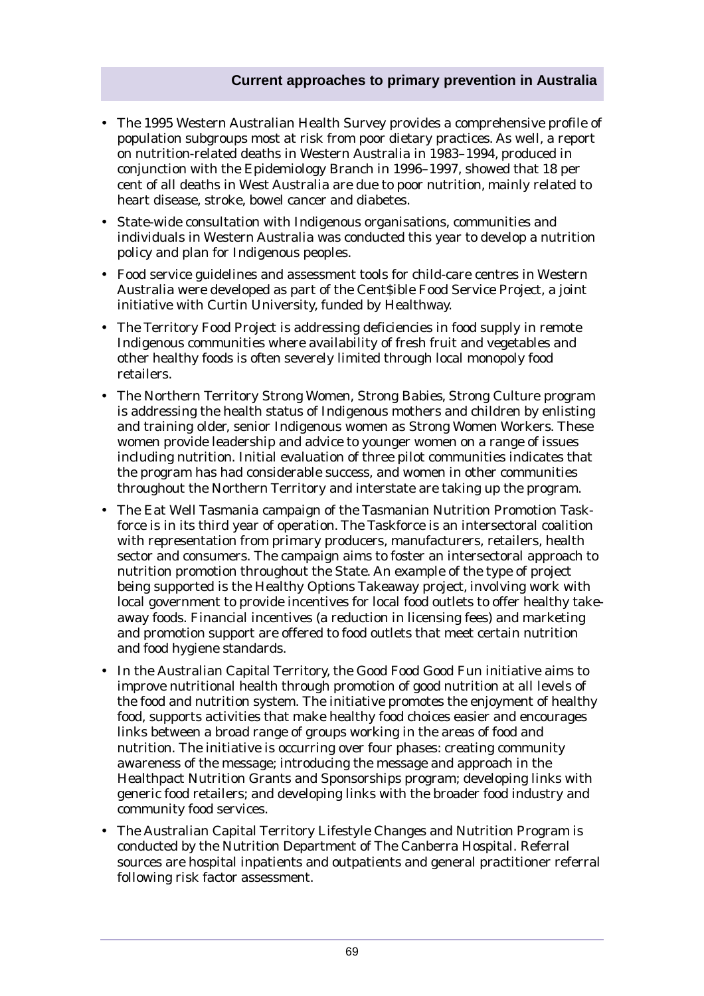- The 1995 Western Australian Health Survey provides a comprehensive profile of population subgroups most at risk from poor dietary practices. As well, a report on nutrition-related deaths in Western Australia in 1983–1994, produced in conjunction with the Epidemiology Branch in 1996–1997, showed that 18 per cent of all deaths in West Australia are due to poor nutrition, mainly related to heart disease, stroke, bowel cancer and diabetes.
- State-wide consultation with Indigenous organisations, communities and individuals in Western Australia was conducted this year to develop a nutrition policy and plan for Indigenous peoples.
- Food service guidelines and assessment tools for child-care centres in Western Australia were developed as part of the Cent\$ible Food Service Project, a joint initiative with Curtin University, funded by Healthway.
- The Territory Food Project is addressing deficiencies in food supply in remote Indigenous communities where availability of fresh fruit and vegetables and other healthy foods is often severely limited through local monopoly food retailers.
- The Northern Territory Strong Women, Strong Babies, Strong Culture program is addressing the health status of Indigenous mothers and children by enlisting and training older, senior Indigenous women as Strong Women Workers. These women provide leadership and advice to younger women on a range of issues including nutrition. Initial evaluation of three pilot communities indicates that the program has had considerable success, and women in other communities throughout the Northern Territory and interstate are taking up the program.
- The Eat Well Tasmania campaign of the Tasmanian Nutrition Promotion Taskforce is in its third year of operation. The Taskforce is an intersectoral coalition with representation from primary producers, manufacturers, retailers, health sector and consumers. The campaign aims to foster an intersectoral approach to nutrition promotion throughout the State. An example of the type of project being supported is the Healthy Options Takeaway project, involving work with local government to provide incentives for local food outlets to offer healthy takeaway foods. Financial incentives (a reduction in licensing fees) and marketing and promotion support are offered to food outlets that meet certain nutrition and food hygiene standards.
- In the Australian Capital Territory, the Good Food Good Fun initiative aims to improve nutritional health through promotion of good nutrition at all levels of the food and nutrition system. The initiative promotes the enjoyment of healthy food, supports activities that make healthy food choices easier and encourages links between a broad range of groups working in the areas of food and nutrition. The initiative is occurring over four phases: creating community awareness of the message; introducing the message and approach in the Healthpact Nutrition Grants and Sponsorships program; developing links with generic food retailers; and developing links with the broader food industry and community food services.
- The Australian Capital Territory Lifestyle Changes and Nutrition Program is conducted by the Nutrition Department of The Canberra Hospital. Referral sources are hospital inpatients and outpatients and general practitioner referral following risk factor assessment.